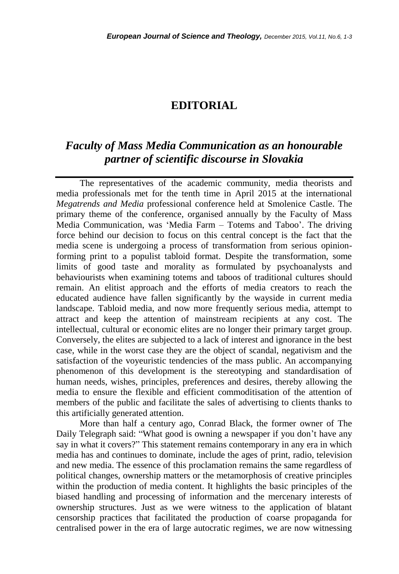## **EDITORIAL**

## *Faculty of Mass Media Communication as an honourable partner of scientific discourse in Slovakia*

The representatives of the academic community, media theorists and media professionals met for the tenth time in April 2015 at the international *Megatrends and Media* professional conference held at Smolenice Castle. The primary theme of the conference, organised annually by the Faculty of Mass Media Communication, was "Media Farm – Totems and Taboo". The driving force behind our decision to focus on this central concept is the fact that the media scene is undergoing a process of transformation from serious opinionforming print to a populist tabloid format. Despite the transformation, some limits of good taste and morality as formulated by psychoanalysts and behaviourists when examining totems and taboos of traditional cultures should remain. An elitist approach and the efforts of media creators to reach the educated audience have fallen significantly by the wayside in current media landscape. Tabloid media, and now more frequently serious media, attempt to attract and keep the attention of mainstream recipients at any cost. The intellectual, cultural or economic elites are no longer their primary target group. Conversely, the elites are subjected to a lack of interest and ignorance in the best case, while in the worst case they are the object of scandal, negativism and the satisfaction of the voyeuristic tendencies of the mass public. An accompanying phenomenon of this development is the stereotyping and standardisation of human needs, wishes, principles, preferences and desires, thereby allowing the media to ensure the flexible and efficient commoditisation of the attention of members of the public and facilitate the sales of advertising to clients thanks to this artificially generated attention.

More than half a century ago, Conrad Black, the former owner of The Daily Telegraph said: "What good is owning a newspaper if you don't have any say in what it covers?" This statement remains contemporary in any era in which media has and continues to dominate, include the ages of print, radio, television and new media. The essence of this proclamation remains the same regardless of political changes, ownership matters or the metamorphosis of creative principles within the production of media content. It highlights the basic principles of the biased handling and processing of information and the mercenary interests of ownership structures. Just as we were witness to the application of blatant censorship practices that facilitated the production of coarse propaganda for centralised power in the era of large autocratic regimes, we are now witnessing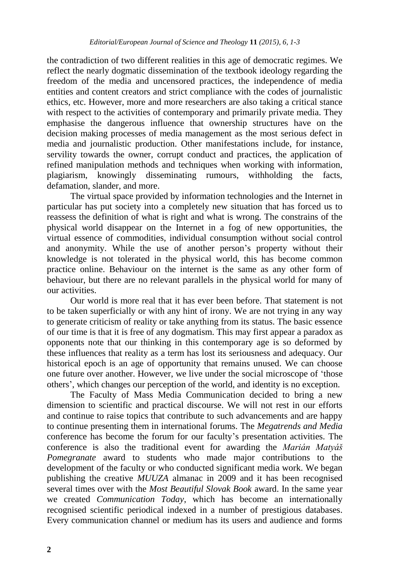the contradiction of two different realities in this age of democratic regimes. We reflect the nearly dogmatic dissemination of the textbook ideology regarding the freedom of the media and uncensored practices, the independence of media entities and content creators and strict compliance with the codes of journalistic ethics, etc. However, more and more researchers are also taking a critical stance with respect to the activities of contemporary and primarily private media. They emphasise the dangerous influence that ownership structures have on the decision making processes of media management as the most serious defect in media and journalistic production. Other manifestations include, for instance, servility towards the owner, corrupt conduct and practices, the application of refined manipulation methods and techniques when working with information, plagiarism, knowingly disseminating rumours, withholding the facts, defamation, slander, and more.

The virtual space provided by information technologies and the Internet in particular has put society into a completely new situation that has forced us to reassess the definition of what is right and what is wrong. The constrains of the physical world disappear on the Internet in a fog of new opportunities, the virtual essence of commodities, individual consumption without social control and anonymity. While the use of another person"s property without their knowledge is not tolerated in the physical world, this has become common practice online. Behaviour on the internet is the same as any other form of behaviour, but there are no relevant parallels in the physical world for many of our activities.

Our world is more real that it has ever been before. That statement is not to be taken superficially or with any hint of irony. We are not trying in any way to generate criticism of reality or take anything from its status. The basic essence of our time is that it is free of any dogmatism. This may first appear a paradox as opponents note that our thinking in this contemporary age is so deformed by these influences that reality as a term has lost its seriousness and adequacy. Our historical epoch is an age of opportunity that remains unused. We can choose one future over another. However, we live under the social microscope of "those others", which changes our perception of the world, and identity is no exception.

The Faculty of Mass Media Communication decided to bring a new dimension to scientific and practical discourse. We will not rest in our efforts and continue to raise topics that contribute to such advancements and are happy to continue presenting them in international forums. The *Megatrends and Media* conference has become the forum for our faculty"s presentation activities. The conference is also the traditional event for awarding the *Marián Matyáš Pomegranate* award to students who made major contributions to the development of the faculty or who conducted significant media work. We began publishing the creative *MUUZA* almanac in 2009 and it has been recognised several times over with the *Most Beautiful Slovak Book* award. In the same year we created *Communication Today*, which has become an internationally recognised scientific periodical indexed in a number of prestigious databases. Every communication channel or medium has its users and audience and forms